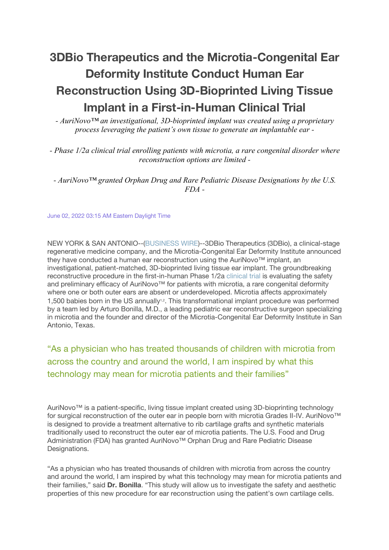# **3DBio Therapeutics and the Microtia-Congenital Ear Deformity Institute Conduct Human Ear Reconstruction Using 3D-Bioprinted Living Tissue Implant in a First-in-Human Clinical Trial**

*- AuriNovo™ an investigational, 3D-bioprinted implant was created using a proprietary process leveraging the patient's own tissue to generate an implantable ear -*

*- Phase 1/2a clinical trial enrolling patients with microtia, a rare congenital disorder where reconstruction options are limited -*

*- AuriNovo™ granted Orphan Drug and Rare Pediatric Disease Designations by the U.S. FDA -*

June 02, 2022 03:15 AM Eastern Daylight Time

NEW YORK & SAN ANTONIO--(BUSINESS WIRE)--3DBio Therapeutics (3DBio), a clinical-stage regenerative medicine company, and the Microtia-Congenital Ear Deformity Institute announced they have conducted a human ear reconstruction using the AuriNovo™ implant, an investigational, patient-matched, 3D-bioprinted living tissue ear implant. The groundbreaking reconstructive procedure in the first-in-human Phase 1/2a clinical trial is evaluating the safety and preliminary efficacy of AuriNovo<sup>™</sup> for patients with microtia, a rare congenital deformity where one or both outer ears are absent or underdeveloped. Microtia affects approximately 1,500 babies born in the US annually<sup>1,2</sup>. This transformational implant procedure was performed by a team led by Arturo Bonilla, M.D., a leading pediatric ear reconstructive surgeon specializing in microtia and the founder and director of the Microtia-Congenital Ear Deformity Institute in San Antonio, Texas.

"As a physician who has treated thousands of children with microtia from across the country and around the world, I am inspired by what this technology may mean for microtia patients and their families"

AuriNovo™ is a patient-specific, living tissue implant created using 3D-bioprinting technology for surgical reconstruction of the outer ear in people born with microtia Grades II-IV. AuriNovo™ is designed to provide a treatment alternative to rib cartilage grafts and synthetic materials traditionally used to reconstruct the outer ear of microtia patients. The U.S. Food and Drug Administration (FDA) has granted AuriNovo™ Orphan Drug and Rare Pediatric Disease Designations.

"As a physician who has treated thousands of children with microtia from across the country and around the world, I am inspired by what this technology may mean for microtia patients and their families," said **Dr. Bonilla**. "This study will allow us to investigate the safety and aesthetic properties of this new procedure for ear reconstruction using the patient's own cartilage cells.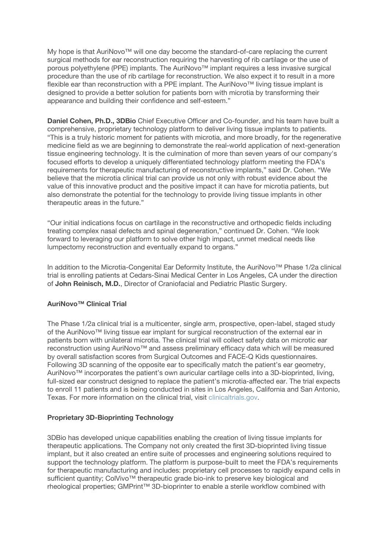My hope is that AuriNovo<sup>™</sup> will one day become the standard-of-care replacing the current surgical methods for ear reconstruction requiring the harvesting of rib cartilage or the use of porous polyethylene (PPE) implants. The AuriNovo™ implant requires a less invasive surgical procedure than the use of rib cartilage for reconstruction. We also expect it to result in a more flexible ear than reconstruction with a PPE implant. The AuriNovo™ living tissue implant is designed to provide a better solution for patients born with microtia by transforming their appearance and building their confidence and self-esteem."

**Daniel Cohen, Ph.D., 3DBio** Chief Executive Officer and Co-founder, and his team have built a comprehensive, proprietary technology platform to deliver living tissue implants to patients. "This is a truly historic moment for patients with microtia, and more broadly, for the regenerative medicine field as we are beginning to demonstrate the real-world application of next-generation tissue engineering technology. It is the culmination of more than seven years of our company's focused efforts to develop a uniquely differentiated technology platform meeting the FDA's requirements for therapeutic manufacturing of reconstructive implants," said Dr. Cohen. "We believe that the microtia clinical trial can provide us not only with robust evidence about the value of this innovative product and the positive impact it can have for microtia patients, but also demonstrate the potential for the technology to provide living tissue implants in other therapeutic areas in the future."

"Our initial indications focus on cartilage in the reconstructive and orthopedic fields including treating complex nasal defects and spinal degeneration," continued Dr. Cohen. "We look forward to leveraging our platform to solve other high impact, unmet medical needs like lumpectomy reconstruction and eventually expand to organs."

In addition to the Microtia-Congenital Ear Deformity Institute, the AuriNovo™ Phase 1/2a clinical trial is enrolling patients at Cedars-Sinai Medical Center in Los Angeles, CA under the direction of **John Reinisch, M.D.**, Director of Craniofacial and Pediatric Plastic Surgery.

#### **AuriNovo™ Clinical Trial**

The Phase 1/2a clinical trial is a multicenter, single arm, prospective, open-label, staged study of the AuriNovo™ living tissue ear implant for surgical reconstruction of the external ear in patients born with unilateral microtia. The clinical trial will collect safety data on microtic ear reconstruction using AuriNovo™ and assess preliminary efficacy data which will be measured by overall satisfaction scores from Surgical Outcomes and FACE-Q Kids questionnaires. Following 3D scanning of the opposite ear to specifically match the patient's ear geometry, AuriNovo™ incorporates the patient's own auricular cartilage cells into a 3D-bioprinted, living, full-sized ear construct designed to replace the patient's microtia-affected ear. The trial expects to enroll 11 patients and is being conducted in sites in Los Angeles, California and San Antonio, Texas. For more information on the clinical trial, visit clinicaltrials.gov.

## **Proprietary 3D-Bioprinting Technology**

3DBio has developed unique capabilities enabling the creation of living tissue implants for therapeutic applications. The Company not only created the first 3D-bioprinted living tissue implant, but it also created an entire suite of processes and engineering solutions required to support the technology platform. The platform is purpose-built to meet the FDA's requirements for therapeutic manufacturing and includes: proprietary cell processes to rapidly expand cells in sufficient quantity; ColVivo<sup>™</sup> therapeutic grade bio-ink to preserve key biological and rheological properties; GMPrint™ 3D-bioprinter to enable a sterile workflow combined with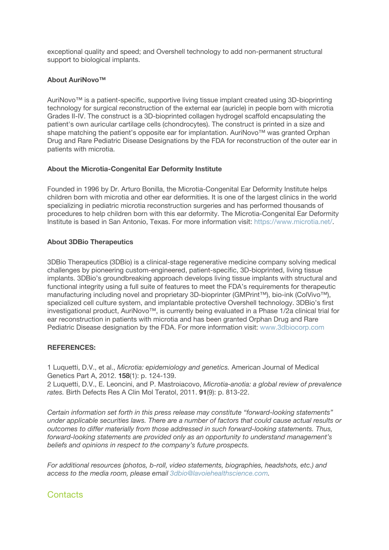exceptional quality and speed; and Overshell technology to add non-permanent structural support to biological implants.

#### **About AuriNovo™**

AuriNovo™ is a patient-specific, supportive living tissue implant created using 3D-bioprinting technology for surgical reconstruction of the external ear (auricle) in people born with microtia Grades II-IV. The construct is a 3D-bioprinted collagen hydrogel scaffold encapsulating the patient's own auricular cartilage cells (chondrocytes). The construct is printed in a size and shape matching the patient's opposite ear for implantation. AuriNovo™ was granted Orphan Drug and Rare Pediatric Disease Designations by the FDA for reconstruction of the outer ear in patients with microtia.

#### **About the Microtia-Congenital Ear Deformity Institute**

Founded in 1996 by Dr. Arturo Bonilla, the Microtia-Congenital Ear Deformity Institute helps children born with microtia and other ear deformities. It is one of the largest clinics in the world specializing in pediatric microtia reconstruction surgeries and has performed thousands of procedures to help children born with this ear deformity. The Microtia-Congenital Ear Deformity Institute is based in San Antonio, Texas. For more information visit: https://www.microtia.net/.

#### **About 3DBio Therapeutics**

3DBio Therapeutics (3DBio) is a clinical-stage regenerative medicine company solving medical challenges by pioneering custom-engineered, patient-specific, 3D-bioprinted, living tissue implants. 3DBio's groundbreaking approach develops living tissue implants with structural and functional integrity using a full suite of features to meet the FDA's requirements for therapeutic manufacturing including novel and proprietary 3D-bioprinter (GMPrint™), bio-ink (ColVivo™), specialized cell culture system, and implantable protective Overshell technology. 3DBio's first investigational product, AuriNovo™, is currently being evaluated in a Phase 1/2a clinical trial for ear reconstruction in patients with microtia and has been granted Orphan Drug and Rare Pediatric Disease designation by the FDA. For more information visit: www.3dbiocorp.com

### **REFERENCES:**

1 Luquetti, D.V., et al., *Microtia: epidemiology and genetics.* American Journal of Medical Genetics Part A, 2012. **158**(1): p. 124-139.

2 Luquetti, D.V., E. Leoncini, and P. Mastroiacovo, *Microtia-anotia: a global review of prevalence rates.* Birth Defects Res A Clin Mol Teratol, 2011. **91**(9): p. 813-22.

*Certain information set forth in this press release may constitute "forward-looking statements" under applicable securities laws. There are a number of factors that could cause actual results or outcomes to differ materially from those addressed in such forward-looking statements. Thus, forward-looking statements are provided only as an opportunity to understand management's beliefs and opinions in respect to the company's future prospects.*

*For additional resources (photos, b-roll, video statements, biographies, headshots, etc.) and access to the media room, please email 3dbio@lavoiehealthscience.com.*

# **Contacts**